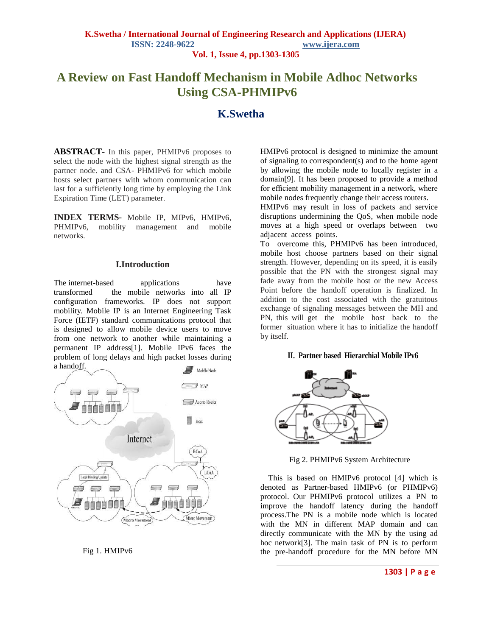# **A Review on Fast Handoff Mechanism in Mobile Adhoc Networks Using CSA-PHMIPv6**

# **K.Swetha**

**ABSTRACT-** In this paper, PHMIPv6 proposes to select the node with the highest signal strength as the partner node. and CSA- PHMIPv6 for which mobile hosts select partners with whom communication can last for a sufficiently long time by employing the Link Expiration Time (LET) parameter.

**INDEX TERMS-** Mobile IP, MIPv6, HMIPv6, PHMIPv6, mobility management and mobile networks.

### **I.Introduction**

The internet-based applications have transformed the mobile networks into all IP configuration frameworks. IP does not support mobility. Mobile IP is an Internet Engineering Task Force (IETF) standard communications protocol that is designed to allow mobile device users to move from one network to another while maintaining a permanent IP address[1]. Mobile IPv6 faces the problem of long delays and high packet losses during a handoff.



Fig 1. HMIPv6

HMIPv6 protocol is designed to minimize the amount of signaling to correspondent(s) and to the home agent by allowing the mobile node to locally register in a domain[9]. It has been proposed to provide a method for efficient mobility management in a network, where mobile nodes frequently change their access routers.

HMIPv6 may result in loss of packets and service disruptions undermining the QoS, when mobile node moves at a high speed or overlaps between two adjacent access points.

To overcome this, PHMIPv6 has been introduced, mobile host choose partners based on their signal strength. However, depending on its speed, it is easily possible that the PN with the strongest signal may fade away from the mobile host or the new Access Point before the handoff operation is finalized. In addition to the cost associated with the gratuitous exchange of signaling messages between the MH and PN, this will get the mobile host back to the former situation where it has to initialize the handoff by itself.

## **II. Partner based Hierarchial Mobile IPv6**



Fig 2. PHMIPv6 System Architecture

This is based on HMIPv6 protocol [4] which is denoted as Partner-based HMIPv6 (or PHMIPv6) protocol. Our PHMIPv6 protocol utilizes a PN to improve the handoff latency during the handoff process.The PN is a mobile node which is located with the MN in different MAP domain and can directly communicate with the MN by the using ad hoc network[3]. The main task of PN is to perform the pre-handoff procedure for the MN before MN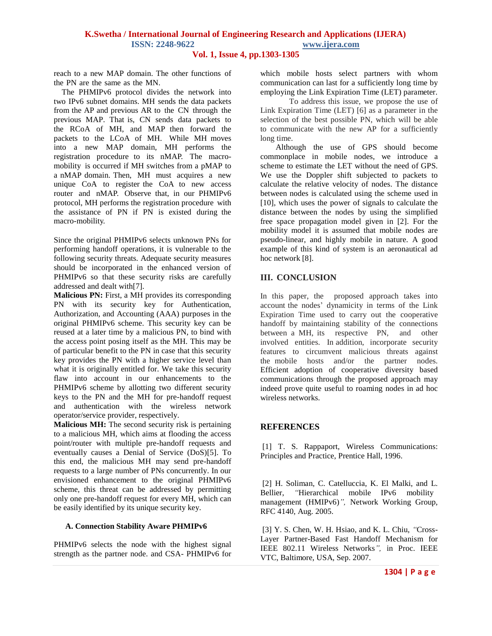## **K.Swetha / International Journal of Engineering Research and Applications (IJERA) ISSN: 2248-9622 www.ijera.com**

**Vol. 1, Issue 4, pp.1303-1305**

reach to a new MAP domain. The other functions of the PN are the same as the MN.

The PHMIPv6 protocol divides the network into two IPv6 subnet domains. MH sends the data packets from the AP and previous AR to the CN through the previous MAP. That is, CN sends data packets to the RCoA of MH, and MAP then forward the packets to the LCoA of MH. While MH moves into a new MAP domain, MH performs the registration procedure to its nMAP. The macromobility is occurred if MH switches from a pMAP to a nMAP domain. Then, MH must acquires a new unique CoA to register the CoA to new access router and nMAP. Observe that, in our PHMIPv6 protocol, MH performs the registration procedure with the assistance of PN if PN is existed during the macro-mobility.

Since the original PHMIPv6 selects unknown PNs for performing handoff operations, it is vulnerable to the following security threats. Adequate security measures should be incorporated in the enhanced version of PHMIPv6 so that these security risks are carefully addressed and dealt with[7].

**Malicious PN:** First, a MH provides its corresponding PN with its security key for Authentication, Authorization, and Accounting (AAA) purposes in the original PHMIPv6 scheme. This security key can be reused at a later time by a malicious PN, to bind with the access point posing itself as the MH. This may be of particular benefit to the PN in case that this security key provides the PN with a higher service level than what it is originally entitled for. We take this security flaw into account in our enhancements to the PHMIPv6 scheme by allotting two different security keys to the PN and the MH for pre-handoff request and authentication with the wireless network operator/service provider, respectively.

**Malicious MH:** The second security risk is pertaining to a malicious MH, which aims at flooding the access point/router with multiple pre-handoff requests and eventually causes a Denial of Service (DoS)[5]. To this end, the malicious MH may send pre-handoff requests to a large number of PNs concurrently. In our envisioned enhancement to the original PHMIPv6 scheme, this threat can be addressed by permitting only one pre-handoff request for every MH, which can be easily identified by its unique security key.

#### **A. Connection Stability Aware PHMIPv6**

PHMIPv6 selects the node with the highest signal strength as the partner node. and CSA- PHMIPv6 for

which mobile hosts select partners with whom communication can last for a sufficiently long time by employing the Link Expiration Time (LET) parameter.

To address this issue, we propose the use of Link Expiration Time (LET) [6] as a parameter in the selection of the best possible PN, which will be able to communicate with the new AP for a sufficiently long time.

 Although the use of GPS should become commonplace in mobile nodes, we introduce a scheme to estimate the LET without the need of GPS. We use the Doppler shift subjected to packets to calculate the relative velocity of nodes. The distance between nodes is calculated using the scheme used in [10], which uses the power of signals to calculate the distance between the nodes by using the simplified free space propagation model given in [2]. For the mobility model it is assumed that mobile nodes are pseudo-linear, and highly mobile in nature. A good example of this kind of system is an aeronautical ad hoc network [8].

## **III. CONCLUSION**

In this paper, the proposed approach takes into account the nodes' dynamicity in terms of the Link Expiration Time used to carry out the cooperative handoff by maintaining stability of the connections between a MH, its respective PN, and other involved entities. In addition, incorporate security features to circumvent malicious threats against the mobile hosts and/or the partner nodes. Efficient adoption of cooperative diversity based communications through the proposed approach may indeed prove quite useful to roaming nodes in ad hoc wireless networks.

## **REFERENCES**

[1] T. S. Rappaport, Wireless Communications: Principles and Practice, Prentice Hall, 1996.

[2] H. Soliman, C. Catelluccia, K. El Malki, and L. Bellier, *"*Hierarchical mobile IPv6 mobility management (HMIPv6)*",* Network Working Group, RFC 4140, Aug. 2005.

[3] Y. S. Chen, W. H. Hsiao, and K. L. Chiu, *"*Cross-Layer Partner-Based Fast Handoff Mechanism for IEEE 802.11 Wireless Networks*",* in Proc. IEEE VTC, Baltimore, USA, Sep. 2007.